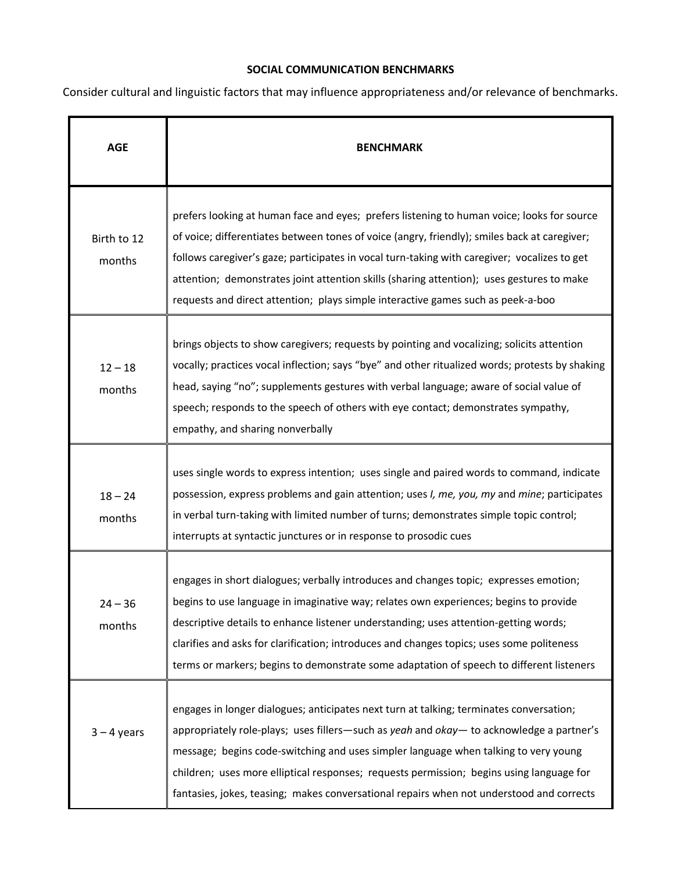## **SOCIAL COMMUNICATION BENCHMARKS**

Consider cultural and linguistic factors that may influence appropriateness and/or relevance of benchmarks.

| <b>AGE</b>            | <b>BENCHMARK</b>                                                                                                                                                                                                                                                                                                                                                                                                                                                            |
|-----------------------|-----------------------------------------------------------------------------------------------------------------------------------------------------------------------------------------------------------------------------------------------------------------------------------------------------------------------------------------------------------------------------------------------------------------------------------------------------------------------------|
| Birth to 12<br>months | prefers looking at human face and eyes; prefers listening to human voice; looks for source<br>of voice; differentiates between tones of voice (angry, friendly); smiles back at caregiver;<br>follows caregiver's gaze; participates in vocal turn-taking with caregiver; vocalizes to get<br>attention; demonstrates joint attention skills (sharing attention); uses gestures to make<br>requests and direct attention; plays simple interactive games such as peek-a-boo |
| $12 - 18$<br>months   | brings objects to show caregivers; requests by pointing and vocalizing; solicits attention<br>vocally; practices vocal inflection; says "bye" and other ritualized words; protests by shaking<br>head, saying "no"; supplements gestures with verbal language; aware of social value of<br>speech; responds to the speech of others with eye contact; demonstrates sympathy,<br>empathy, and sharing nonverbally                                                            |
| $18 - 24$<br>months   | uses single words to express intention; uses single and paired words to command, indicate<br>possession, express problems and gain attention; uses I, me, you, my and mine; participates<br>in verbal turn-taking with limited number of turns; demonstrates simple topic control;<br>interrupts at syntactic junctures or in response to prosodic cues                                                                                                                     |
| $24 - 36$<br>months   | engages in short dialogues; verbally introduces and changes topic; expresses emotion;<br>begins to use language in imaginative way; relates own experiences; begins to provide<br>descriptive details to enhance listener understanding; uses attention-getting words;<br>clarifies and asks for clarification; introduces and changes topics; uses some politeness<br>terms or markers; begins to demonstrate some adaptation of speech to different listeners             |
| $3 - 4$ years         | engages in longer dialogues; anticipates next turn at talking; terminates conversation;<br>appropriately role-plays; uses fillers—such as yeah and okay— to acknowledge a partner's<br>message; begins code-switching and uses simpler language when talking to very young<br>children; uses more elliptical responses; requests permission; begins using language for<br>fantasies, jokes, teasing; makes conversational repairs when not understood and corrects          |